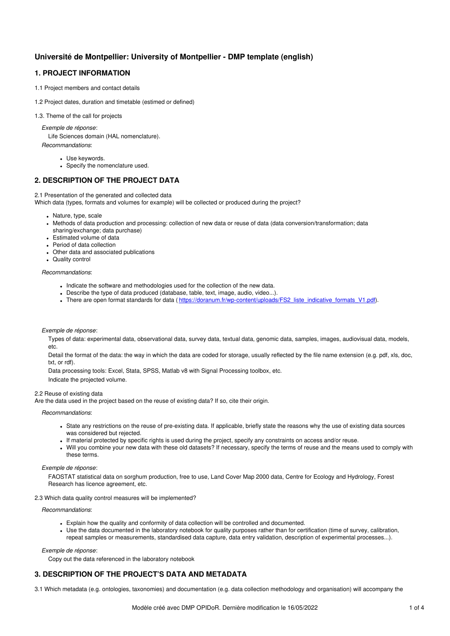# **Université de Montpellier: University of Montpellier - DMP template (english)**

## **1. PROJECT INFORMATION**

- 1.1 Project members and contact details
- 1.2 Project dates, duration and timetable (estimed or defined)
- 1.3. Theme of the call for projects

*Exemple de réponse*:

Life Sciences domain (HAL nomenclature).

*Recommandations*:

- Use keywords.
- Specify the nomenclature used.

## **2. DESCRIPTION OF THE PROJECT DATA**

2.1 Presentation of the generated and collected data

Which data (types, formats and volumes for example) will be collected or produced during the project?

- Nature, type, scale
- Methods of data production and processing: collection of new data or reuse of data (data conversion/transformation; data sharing/exchange; data purchase)
- **Estimated volume of data**
- Period of data collection
- Other data and associated publications
- Quality control

### *Recommandations*:

- . Indicate the software and methodologies used for the collection of the new data.
- Describe the type of data produced (database, table, text, image, audio, video...).
- . There are open format standards for data ( [https://doranum.fr/wp-content/uploads/FS2\\_liste\\_indicative\\_formats\\_V1.pdf](https://doranum.fr/wp-content/uploads/FS2_liste_indicative_formats_V1.pdf)).

## *Exemple de réponse*:

Types of data: experimental data, observational data, survey data, textual data, genomic data, samples, images, audiovisual data, models,  $Ar$ 

Detail the format of the data: the way in which the data are coded for storage, usually reflected by the file name extension (e.g. pdf, xls, doc, txt, or rdf).

Data processing tools: Excel, Stata, SPSS, Matlab v8 with Signal Processing toolbox, etc.

Indicate the projected volume.

### 2.2 Reuse of existing data

Are the data used in the project based on the reuse of existing data? If so, cite their origin.

*Recommandations*:

- State any restrictions on the reuse of pre-existing data. If applicable, briefly state the reasons why the use of existing data sources was considered but rejected.
- If material protected by specific rights is used during the project, specify any constraints on access and/or reuse.
- Will you combine your new data with these old datasets? If necessary, specify the terms of reuse and the means used to comply with these terms.

## *Exemple de réponse*:

FAOSTAT statistical data on sorghum production, free to use, Land Cover Map 2000 data, Centre for Ecology and Hydrology, Forest Research has licence agreement, etc.

### 2.3 Which data quality control measures will be implemented?

*Recommandations*:

- Explain how the quality and conformity of data collection will be controlled and documented.
- Use the data documented in the laboratory notebook for quality purposes rather than for certification (time of survey, calibration, repeat samples or measurements, standardised data capture, data entry validation, description of experimental processes...).

### *Exemple de réponse*:

Copy out the data referenced in the laboratory notebook

## **3. DESCRIPTION OF THE PROJECT'S DATA AND METADATA**

3.1 Which metadata (e.g. ontologies, taxonomies) and documentation (e.g. data collection methodology and organisation) will accompany the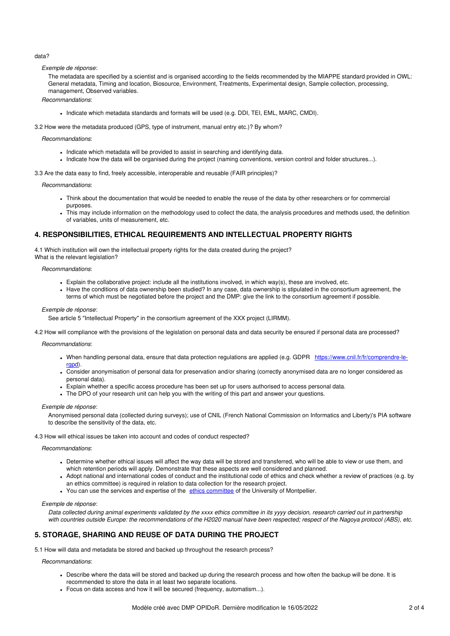## data?

*Exemple de réponse*:

The metadata are specified by a scientist and is organised according to the fields recommended by the MIAPPE standard provided in OWL: General metadata, Timing and location, Biosource, Environment, Treatments, Experimental design, Sample collection, processing, management, Observed variables.

*Recommandations*:

Indicate which metadata standards and formats will be used (e.g. DDI, TEI, EML, MARC, CMDI).

3.2 How were the metadata produced (GPS, type of instrument, manual entry etc.)? By whom?

*Recommandations*:

- Indicate which metadata will be provided to assist in searching and identifying data.
- Indicate how the data will be organised during the project (naming conventions, version control and folder structures...).

3.3 Are the data easy to find, freely accessible, interoperable and reusable (FAIR principles)?

*Recommandations*:

- Think about the documentation that would be needed to enable the reuse of the data by other researchers or for commercial purposes.
- This may include information on the methodology used to collect the data, the analysis procedures and methods used, the definition of variables, units of measurement, etc.

## **4. RESPONSIBILITIES, ETHICAL REQUIREMENTS AND INTELLECTUAL PROPERTY RIGHTS**

4.1 Which institution will own the intellectual property rights for the data created during the project? What is the relevant legislation?

#### *Recommandations*:

- Explain the collaborative project: include all the institutions involved, in which way(s), these are involved, etc.
- Have the conditions of data ownership been studied? In any case, data ownership is stipulated in the consortium agreement, the terms of which must be negotiated before the project and the DMP: give the link to the consortium agreement if possible.

#### *Exemple de réponse*:

See article 5 "Intellectual Property" in the consortium agreement of the XXX project (LIRMM).

4.2 How will compliance with the provisions of the legislation on personal data and data security be ensured if personal data are processed?

*Recommandations*:

- When handling personal data, ensure that data protection regulations are applied (e.g. GDPR [https://www.cnil.fr/fr/comprendre-le](https://www.cnil.fr/fr/comprendre-le-rgpd)rgpd).
- Consider anonymisation of personal data for preservation and/or sharing (correctly anonymised data are no longer considered as personal data).
- Explain whether a specific access procedure has been set up for users authorised to access personal data.
- The DPO of your research unit can help you with the writing of this part and answer your questions.

*Exemple de réponse*:

Anonymised personal data (collected during surveys); use of CNIL (French National Commission on Informatics and Liberty)'s PIA software to describe the sensitivity of the data, etc.

4.3 How will ethical issues be taken into account and codes of conduct respected?

*Recommandations*:

- Determine whether ethical issues will affect the way data will be stored and transferred, who will be able to view or use them, and which retention periods will apply. Demonstrate that these aspects are well considered and planned.
- Adopt national and international codes of conduct and the institutional code of ethics and check whether a review of practices (e.g. by an ethics committee) is required in relation to data collection for the research project.
- You can use the services and expertise of the ethics [committee](https://intranet.umontpellier.fr/comite-dethique-de-la-recherche/) of the University of Montpellier.

### *Exemple de réponse*:

Data collected during animal experiments validated by the xxxx ethics committee in its yyyy decision, research carried out in partnership with countries outside Europe: the recommendations of the H2020 manual have been respected: respect of the Nagova protocol (ABS), etc.

## **5. STORAGE, SHARING AND REUSE OF DATA DURING THE PROJECT**

5.1 How will data and metadata be stored and backed up throughout the research process?

*Recommandations*:

- Describe where the data will be stored and backed up during the research process and how often the backup will be done. It is recommended to store the data in at least two separate locations.
- Focus on data access and how it will be secured (frequency, automatism...).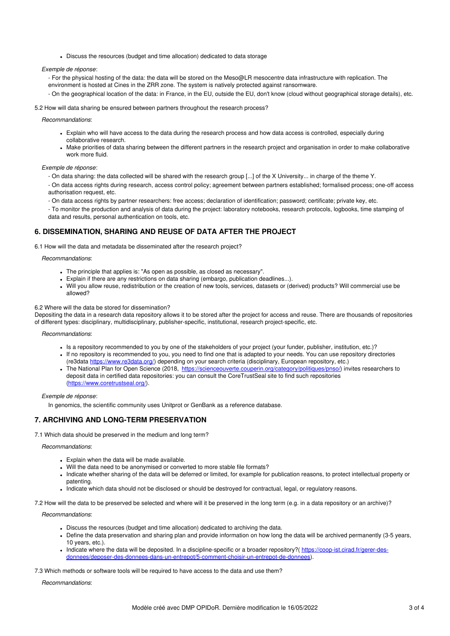Discuss the resources (budget and time allocation) dedicated to data storage

*Exemple de réponse*:

- For the physical hosting of the data: the data will be stored on the Meso@LR mesocentre data infrastructure with replication. The environment is hosted at Cines in the ZRR zone. The system is natively protected against ransomware.
- On the geographical location of the data: in France, in the EU, outside the EU, don't know (cloud without geographical storage details), etc.

5.2 How will data sharing be ensured between partners throughout the research process?

*Recommandations*:

- Explain who will have access to the data during the research process and how data access is controlled, especially during collaborative research.
- Make priorities of data sharing between the different partners in the research project and organisation in order to make collaborative work more fluid.

## *Exemple de réponse*:

- On data sharing: the data collected will be shared with the research group [...] of the X University... in charge of the theme Y.

- On data access rights during research, access control policy; agreement between partners established; formalised process; one-off access authorisation request, etc.

- On data access rights by partner researchers: free access; declaration of identification; password; certificate; private key, etc.

- To monitor the production and analysis of data during the project: laboratory notebooks, research protocols, logbooks, time stamping of data and results, personal authentication on tools, etc.

## **6. DISSEMINATION, SHARING AND REUSE OF DATA AFTER THE PROJECT**

6.1 How will the data and metadata be disseminated after the research project?

#### *Recommandations*:

- The principle that applies is: "As open as possible, as closed as necessary".
- Explain if there are any restrictions on data sharing (embargo, publication deadlines...).
- Will you allow reuse, redistribution or the creation of new tools, services, datasets or (derived) products? Will commercial use be allowed?

#### 6.2 Where will the data be stored for dissemination?

Depositing the data in a research data repository allows it to be stored after the project for access and reuse. There are thousands of repositories of different types: disciplinary, multidisciplinary, publisher-specific, institutional, research project-specific, etc.

## *Recommandations*:

- Is a repository recommended to you by one of the stakeholders of your project (your funder, publisher, institution, etc.)?
- If no repository is recommended to you, you need to find one that is adapted to your needs. You can use repository directories (re3data <https://www.re3data.org/>) depending on your search criteria (disciplinary, European repository, etc.)
- The National Plan for Open Science (2018, <https://scienceouverte.couperin.org/category/politiques/pnso/>) invites researchers to deposit data in certified data repositories: you can consult the CoreTrustSeal site to find such repositories [\(https://www.coretrustseal.org/](https://www.coretrustseal.org/)).

### *Exemple de réponse*:

In genomics, the scientific community uses Unitprot or GenBank as a reference database.

## **7. ARCHIVING AND LONG-TERM PRESERVATION**

7.1 Which data should be preserved in the medium and long term?

### *Recommandations*:

- Explain when the data will be made available.
- Will the data need to be anonymised or converted to more stable file formats?
- Indicate whether sharing of the data will be deferred or limited, for example for publication reasons, to protect intellectual property or patenting.
- Indicate which data should not be disclosed or should be destroyed for contractual, legal, or regulatory reasons.

7.2 How will the data to be preserved be selected and where will it be preserved in the long term (e.g. in a data repository or an archive)?

*Recommandations*:

- Discuss the resources (budget and time allocation) dedicated to archiving the data.
- Define the data preservation and sharing plan and provide information on how long the data will be archived permanently (3-5 years, 10 years, etc.).
- Indicate where the data will be deposited. In a discipline-specific or a broader repository?( https://coop-ist.cirad.fr/gerer-des[donnees/deposer-des-donnees-dans-un-entrepot/5-comment-choisir-un-entrepot-de-donnees\).](https://coop-ist.cirad.fr/gerer-des-donnees/deposer-des-donnees-dans-un-entrepot/5-comment-choisir-un-entrepot-de-donnees)

7.3 Which methods or software tools will be required to have access to the data and use them?

*Recommandations*: